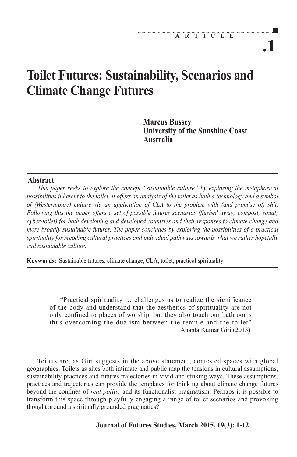# **Toilet Futures: Sustainability, Scenarios and Climate Change Futures**

**Marcus Bussey University of the Sunshine Coast Australia**

# Abstract

*This paper seeks to explore the concept "sustainable culture" by exploring the metaphorical possibilities inherent to the toilet. It offers an analysis of the toilet as both a technology and a symbol of (Western/pure) culture via an application of CLA to the problem with (and promise of) shit. Following this the paper offers a set of possible futures scenarios (flushed away; compost; squat; cyber-toilet) for both developing and developed countries and their responses to climate change and more broadly sustainable futures. The paper concludes by exploring the possibilities of a practical spirituality for recoding cultural practices and individual pathways towards what we rather hopefully call sustainable culture.*

Keywords: Sustainable futures, climate change, CLA, toilet, practical spirituality

"Practical spirituality … challenges us to realize the significance of the body and understand that the aesthetics of spirituality are not only confined to places of worship, but they also touch our bathrooms thus overcoming the dualism between the temple and the toilet" Ananta Kumar Giri (2013)

Toilets are, as Giri suggests in the above statement, contested spaces with global geographies. Toilets as sites both intimate and public map the tensions in cultural assumptions, sustainability practices and futures trajectories in vivid and striking ways. These assumptions, practices and trajectories can provide the templates for thinking about climate change futures beyond the confines of *real politic* and its functionalist pragmatism. Perhaps it is possible to transform this space through playfully engaging a range of toilet scenarios and provoking thought around a spiritually grounded pragmatics?

## **Journal of Futures Studies, March 2015, 19(3): 1-12**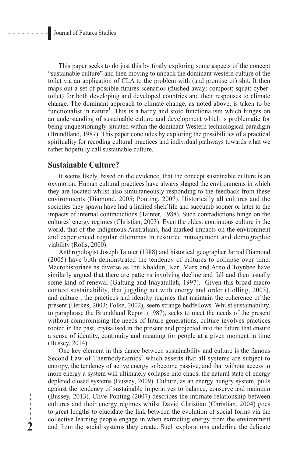This paper seeks to do just this by firstly exploring some aspects of the concept "sustainable culture" and then moving to unpack the dominant western culture of the toilet via an application of CLA to the problem with (and promise of) shit. It then maps out a set of possible futures scenarios (flushed away; compost; squat; cybertoilet) for both developing and developed countries and their responses to climate change. The dominant approach to climate change, as noted above, is taken to be functionalist in nature<sup>1</sup>. This is a hardy and stoic functionalism which hinges on an understanding of sustainable culture and development which is problematic for being unquestioningly situated within the dominant Western technological paradigm (Brundtland, 1987). This paper concludes by exploring the possibilities of a practical spirituality for recoding cultural practices and individual pathways towards what we rather hopefully call sustainable culture.

## **Sustainable Culture?**

It seems likely, based on the evidence, that the concept sustainable culture is an oxymoron. Human cultural practices have always shaped the environments in which they are located whilst also simultaneously responding to the feedback from these environments (Diamond, 2005; Ponting, 2007). Historically all cultures and the societies they spawn have had a limited shelf life and succumb sooner or later to the impacts of internal contradictions (Tainter, 1988). Such contradictions hinge on the cultures' energy regimes (Christian, 2003). Even the oldest continuous culture in the world, that of the indigenous Australians, had marked impacts on the environment and experienced regular dilemmas in resource management and demographic viability (Rolls, 2000).

Anthropologist Joseph Tainter (1988) and historical geographer Jarrod Diamond (2005) have both demonstrated the tendency of cultures to collapse over time. Macrohistorians as diverse as Ibn Khaldun, Karl Marx and Arnold Toynbee have similarly argued that there are patterns involving decline and fall and then usually some kind of renewal (Galtung and Inayatullah, 1997). Given this broad macro context sustainability, that juggling act with energy and order (Holling, 2003), and culture , the practices and identity regimes that maintain the coherence of the present (Berkes, 2003; Folke, 2002), seem strange bedfellows. Whilst sustainability, to paraphrase the Brundtland Report (1987), seeks to meet the needs of the present without compromising the needs of future generations, culture involves practices rooted in the past, crytsalised in the present and projected into the future that ensure a sense of identity, continuity and meaning for people at a given moment in time (Bussey, 2014).

One key element in this dance between sustainability and culture is the famous Second Law of Thermodynamics<sup>2</sup> which asserts that all systems are subject to entropy, the tendency of active energy to become passive, and that without access to more energy a system will ultimately collapse into chaos, the natural state of energy depleted closed systems (Bussey, 2009). Culture, as an energy hungry system, pulls against the tendency of sustainable imperatives to balance, conserve and maintain (Bussey, 2013). Clive Ponting (2007) describes the intimate relationship between cultures and their energy regimes whilst David Christian (Christian, 2004) goes to great lengths to elucidate the link between the evolution of social forms via the collective learning people engage in when extracting energy from the environment and from the social systems they create. Such explorations underline the delicate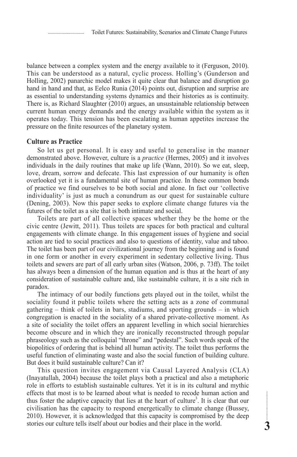balance between a complex system and the energy available to it (Ferguson, 2010). This can be understood as a natural, cyclic process. Holling's (Gunderson and Holling, 2002) panarchic model makes it quite clear that balance and disruption go hand in hand and that, as Eelco Runia (2014) points out, disruption and surprise are as essential to understanding systems dynamics and their histories as is continuity. There is, as Richard Slaughter (2010) argues, an unsustainable relationship between current human energy demands and the energy available within the system as it operates today. This tension has been escalating as human appetites increase the pressure on the finite resources of the planetary system.

## **Culture as Practice**

So let us get personal. It is easy and useful to generalise in the manner demonstrated above. However, culture is a *practice* (Hermes, 2005) and it involves individuals in the daily routines that make up life (Wann, 2010). So we eat, sleep, love, dream, sorrow and defecate. This last expression of our humanity is often overlooked yet it is a fundamental site of human practice. In these common bonds of practice we find ourselves to be both social and alone. In fact our 'collective individuality' is just as much a conundrum as our quest for sustainable culture (Dening, 2003). Now this paper seeks to explore climate change futures via the futures of the toilet as a site that is both intimate and social.

Toilets are part of all collective spaces whether they be the home or the civic centre (Jewitt, 2011). Thus toilets are spaces for both practical and cultural engagements with climate change. In this engagement issues of hygiene and social action are tied to social practices and also to questions of identity, value and taboo. The toilet has been part of our civilizational journey from the beginning and is found in one form or another in every experiment in sedentary collective living. Thus toilets and sewers are part of all early urban sites (Watson, 2006, p. 73ff). The toilet has always been a dimension of the human equation and is thus at the heart of any consideration of sustainable culture and, like sustainable culture, it is a site rich in paradox.

The intimacy of our bodily functions gets played out in the toilet, whilst the sociality found it public toilets where the setting acts as a zone of communal gathering – think of toilets in bars, stadiums, and sporting grounds – in which congregation is enacted in the sociality of a shared private-collective moment. As a site of sociality the toilet offers an apparent levelling in which social hierarchies become obscure and in which they are ironically reconstructed through popular phraseology such as the colloquial "throne" and "pedestal". Such words speak of the biopolitics of ordering that is behind all human activity. The toilet thus performs the useful function of eliminating waste and also the social function of building culture. But does it build sustainable culture? Can it?

This question invites engagement via Causal Layered Analysis (CLA) (Inayatullah, 2004) because the toilet plays both a practical and also a metaphoric role in efforts to establish sustainable cultures. Yet it is in its cultural and mythic effects that most is to be learned about what is needed to recode human action and thus foster the adaptive capacity that lies at the heart of culture<sup>3</sup>. It is clear that our civilisation has the capacity to respond energetically to climate change (Bussey, 2010). However, it is acknowledged that this capacity is compromised by the deep stories our culture tells itself about our bodies and their place in the world.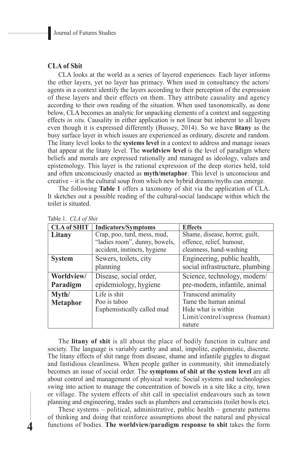## **CLA of Shit**

CLA looks at the world as a series of layered experiences. Each layer informs the other layers, yet no layer has primacy. When used in consultancy the actors/ agents in a context identify the layers according to their perception of the expression of these layers and their effects on them. They attribute causality and agency according to their own reading of the situation. When used taxonomically, as done below, CLA becomes an analytic for unpacking elements of a context and suggesting effects *in situ.* Causality in either application is not linear but inherent to all layers even though it is expressed differently (Bussey, 2014). So we have **litany** as the busy surface layer in which issues are experienced as ordinary, discrete and random. The litany level looks to the **systems level** in a context to address and manage issues that appear at the litany level. The **worldview level** is the level of paradigm where beliefs and morals are expressed rationally and managed as ideology, values and epistemology. This layer is the rational expression of the deep stories held, told and often unconsciously enacted as **myth/metaphor**. This level is unconscious and creative – it is the cultural soup from which new hybrid dreams/myths can emerge.

The following **Table 1** offers a taxonomy of shit via the application of CLA. It sketches out a possible reading of the cultural-social landscape within which the toilet is situated.

| <b>CLA of SHIT</b> | <b>Indicators/Symptoms</b>    | <b>Effects</b>                  |
|--------------------|-------------------------------|---------------------------------|
| Litany             | Crap, poo, turd, mess, mud,   | Shame, disease, horror, guilt,  |
|                    | "ladies room", dunny, bowels, | offence, relief, humour,        |
|                    | accident, instincts, hygiene  | cleanness, hand-washing         |
| <b>System</b>      | Sewers, toilets, city         | Engineering, public health,     |
|                    | planning                      | social infrastructure, plumbing |
| Worldview/         | Disease, social order,        | Science, technology, modern/    |
| Paradigm           | epidemiology, hygiene         | pre-modern, infantile, animal   |
| Myth/              | Life is shit                  | Transcend animality             |
| <b>Metaphor</b>    | Poo is taboo                  | Tame the human animal           |
|                    | Euphemistically called mud    | Hide what is within             |
|                    |                               | Limit/control/supress (human)   |
|                    |                               | nature                          |

Table 1. *CLA of Shit*

The **litany of shit** is all about the place of bodily function in culture and society. The language is variably earthy and anal, impolite, euphemistic, discrete. The litany effects of shit range from disease, shame and infantile giggles to disgust and fastidious cleanliness. When people gather in community, shit immediately becomes an issue of social order. The **symptoms of shit at the system level** are all about control and management of physical waste. Social systems and technologies swing into action to manage the concentration of bowels in a site like a city, town or village. The system effects of shit call in specialist endeavours such as town planning and engineering, trades such as plumbers and ceramicists (toilet bowls etc).

These systems – political, administrative, public health – generate patterns of thinking and doing that reinforce assumptions about the natural and physical functions of bodies. **The worldview/paradigm response to shit** takes the form

...............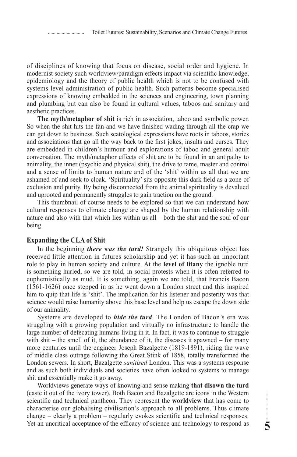of disciplines of knowing that focus on disease, social order and hygiene. In modernist society such worldview/paradigm effects impact via scientific knowledge, epidemiology and the theory of public health which is not to be confused with systems level administration of public health. Such patterns become specialised expressions of knowing embedded in the sciences and engineering, town planning and plumbing but can also be found in cultural values, taboos and sanitary and aesthetic practices.

**The myth/metaphor of shit** is rich in association, taboo and symbolic power. So when the shit hits the fan and we have finished wading through all the crap we can get down to business. Such scatological expressions have roots in taboos, stories and associations that go all the way back to the first jokes, insults and curses. They are embedded in children's humour and explorations of taboo and general adult conversation. The myth/metaphor effects of shit are to be found in an antipathy to animality, the inner (psychic and physical shit), the drive to tame, master and control and a sense of limits to human nature and of the 'shit' within us all that we are ashamed of and seek to cloak. 'Spirituality' sits opposite this dark field as a zone of exclusion and purity. By being disconnected from the animal spirituality is devalued and uprooted and permanently struggles to gain traction on the ground.

This thumbnail of course needs to be explored so that we can understand how cultural responses to climate change are shaped by the human relationship with nature and also with that which lies within us all – both the shit and the soul of our being.

#### **Expanding the CLA of Shit**

In the beginning *there was the turd!* Strangely this ubiquitous object has received little attention in futures scholarship and yet it has such an important role to play in human society and culture. At the **level of litany** the ignoble turd is something hurled, so we are told, in social protests when it is often referred to euphemistically as mud. It is something, again we are told, that Francis Bacon (1561-1626) once stepped in as he went down a London street and this inspired him to quip that life is 'shit'. The implication for his listener and posterity was that science would raise humanity above this base level and help us escape the down side of our animality.

Systems are developed to *hide the turd*. The London of Bacon's era was struggling with a growing population and virtually no infrastructure to handle the large number of defecating humans living in it. In fact, it was to continue to struggle with  $\text{shift}$  – the smell of it, the abundance of it, the diseases it spawned – for many more centuries until the engineer Joseph Bazalgette (1819-1891), riding the wave of middle class outrage following the Great Stink of 1858, totally transformed the London sewers. In short, Bazalgette *sanitised* London. This was a systems response and as such both individuals and societies have often looked to systems to manage shit and essentially make it go away.

Worldviews generate ways of knowing and sense making **that disown the turd** (caste it out of the ivory tower). Both Bacon and Bazalgette are icons in the Western scientific and technical pantheon. They represent the **worldview** that has come to characterise our globalising civilisation's approach to all problems. Thus climate change – clearly a problem – regularly evokes scientific and technical responses. Yet an uncritical acceptance of the efficacy of science and technology to respond as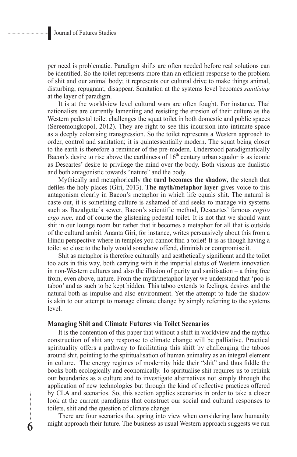per need is problematic. Paradigm shifts are often needed before real solutions can be identified. So the toilet represents more than an efficient response to the problem of shit and our animal body; it represents our cultural drive to make things animal, disturbing, repugnant, disappear. Sanitation at the systems level becomes *sanitising* at the layer of paradigm.

It is at the worldview level cultural wars are often fought. For instance, Thai nationalists are currently lamenting and resisting the erosion of their culture as the Western pedestal toilet challenges the squat toilet in both domestic and public spaces (Sereemongkopol, 2012). They are right to see this incursion into intimate space as a deeply colonising transgression. So the toilet represents a Western approach to order, control and sanitation; it is quintessentially modern. The squat being closer to the earth is therefore a reminder of the pre-modern. Understood paradigmatically Bacon's desire to rise above the earthiness of  $16<sup>th</sup>$  century urban squalor is as iconic as Descartes' desire to privilege the mind over the body. Both visions are dualistic and both antagonistic towards "nature" and the body.

Mythically and metaphorically **the turd becomes the shadow**, the stench that defiles the holy places (Giri, 2013). **The myth/metaphor layer** gives voice to this antagonism clearly in Bacon's metaphor in which life equals shit. The natural is caste out, it is something culture is ashamed of and seeks to manage via systems such as Bazalgette's sewer, Bacon's scientific method, Descartes' famous *cogito ergo sum,* and of course the glistening pedestal toilet*.* It is not that we should want shit in our lounge room but rather that it becomes a metaphor for all that is outside of the cultural ambit. Ananta Giri, for instance, writes persuasively about this from a Hindu perspective where in temples you cannot find a toilet! It is as though having a toilet so close to the holy would somehow offend, diminish or compromise it.

Shit as metaphor is therefore culturally and aesthetically significant and the toilet too acts in this way, both carrying with it the imperial status of Western innovation in non-Western cultures and also the illusion of purity and sanitisation – a thing free from, even above, nature. From the myth/metaphor layer we understand that 'poo is taboo' and as such to be kept hidden. This taboo extends to feelings, desires and the natural both as impulse and also environment. Yet the attempt to hide the shadow is akin to our attempt to manage climate change by simply referring to the systems level.

## **Managing Shit and Climate Futures via Toilet Scenarios**

**6**

It is the contention of this paper that without a shift in worldview and the mythic construction of shit any response to climate change will be palliative. Practical spirituality offers a pathway to facilitating this shift by challenging the taboos around shit, pointing to the spiritualisation of human animality as an integral element in culture. The energy regimes of modernity hide their "shit" and thus fiddle the books both ecologically and economically. To spiritualise shit requires us to rethink our boundaries as a culture and to investigate alternatives not simply through the application of new technologies but through the kind of reflective practices offered by CLA and scenarios. So, this section applies scenarios in order to take a closer look at the current paradigms that construct our social and cultural responses to toilets, shit and the question of climate change.

There are four scenarios that spring into view when considering how humanity might approach their future. The business as usual Western approach suggests we run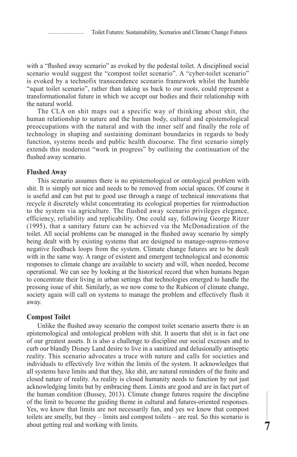with a "flushed away scenario" as evoked by the pedestal toilet. A disciplined social scenario would suggest the "compost toilet scenario". A "cyber-toilet scenario" is evoked by a technofix transcendence scenario framework whilst the humble "squat toilet scenario", rather than taking us back to our roots, could represent a transformationalist future in which we accept our bodies and their relationship with the natural world.

The CLA on shit maps out a specific way of thinking about shit, the human relationship to nature and the human body, cultural and epistemological preoccupations with the natural and with the inner self and finally the role of technology in shaping and sustaining dominant boundaries in regards to body function, systems needs and public health discourse. The first scenario simply extends this modernist "work in progress" by outlining the continuation of the flushed away scenario.

#### **Flushed Away**

This scenario assumes there is no epistemological or ontological problem with shit. It is simply not nice and needs to be removed from social spaces. Of course it is useful and can but put to good use through a range of technical innovations that recycle it discretely whilst concentrating its ecological properties for reintroduction to the system via agriculture. The flushed away scenario privileges elegance, efficiency, reliability and replicability. One could say, following George Ritzer (1995), that a sanitary future can be achieved via the McDonadization of the toilet. All social problems can be managed in the flushed away scenario by simply being dealt with by existing systems that are designed to manage-supress-remove negative feedback loops from the system. Climate change futures are to be dealt with in the same way. A range of existent and emergent technological and economic responses to climate change are available to society and will, when needed, become operational. We can see by looking at the historical record that when humans began to concentrate their living in urban settings that technologies emerged to handle the pressing issue of shit. Similarly, as we now come to the Rubicon of climate change, society again will call on systems to manage the problem and effectively flush it away.

#### **Compost Toilet**

Unlike the flushed away scenario the compost toilet scenario asserts there is an epistemological and ontological problem with shit. It asserts that shit is in fact one of our greatest assets. It is also a challenge to discipline our social excesses and to curb our blandly Disney Land desire to live in a sanitized and delusionally antiseptic reality. This scenario advocates a truce with nature and calls for societies and individuals to effectively live within the limits of the system. It acknowledges that all systems have limits and that they, like shit, are natural reminders of the finite and closed nature of reality. As reality is closed humanity needs to function by not just acknowledging limits but by embracing them. Limits are good and are in fact part of the human condition (Bussey, 2013). Climate change futures require the discipline of the limit to become the guiding theme in cultural and futures-oriented responses. Yes, we know that limits are not necessarily fun, and yes we know that compost toilets are smelly, but they – limits and compost toilets – are real. So this scenario is about getting real and working with limits.

**7**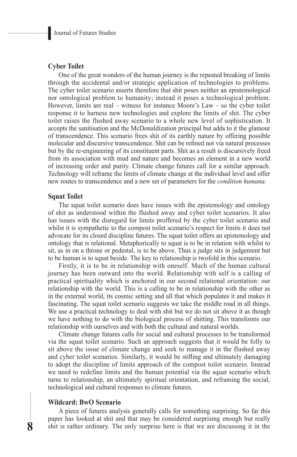## **Cyber Toilet**

One of the great wonders of the human journey is the repeated breaking of limits through the accidental and/or strategic application of technologies to problems. The cyber toilet scenario asserts therefore that shit poses neither an epistemological nor ontological problem to humanity; instead it poses a technological problem. However, limits are real – witness for instance Moore's Law – so the cyber toilet response it to harness new technologies and explore the limits of shit. The cyber toilet raises the flushed away scenario to a whole new level of sophistication. It accepts the sanitisation and the McDonaldization principal but adds to it the glamour of transcendence. This scenario frees shit of its earthly nature by offering possible molecular and discursive transcendence. Shit can be refined not via natural processes but by the re-engineering of its constituent parts. Shit as a result is discursively freed from its association with mud and nature and becomes an element in a new world of increasing order and purity. Climate change futures call for a similar approach. Technology will reframe the limits of climate change at the individual level and offer new routes to transcendence and a new set of parameters for the *condition humana.*

#### **Squat Toilet**

The squat toilet scenario does have issues with the epistemology and ontology of shit as understood within the flushed away and cyber toilet scenarios. It also has issues with the disregard for limits proffered by the cyber toilet scenario and whilst it is sympathetic to the compost toilet scenario's respect for limits it does not advocate for its closed discipline futures. The squat toilet offers an epistemology and ontology that is relational. Metaphorically to squat is to be in relation with whilst to sit, as in on a throne or pedestal, is to be above. Thus a judge sits in judgement but to be human is to squat beside. The key to relationship is twofold in this scenario.

Firstly, it is to be in relationship with oneself. Much of the human cultural journey has been outward into the world. Relationship with self is a calling of practical spirituality which is anchored in our second relational orientation: our relationship with the world. This is a calling to be in relationship with the other as in the external world, its cosmic setting and all that which populates it and makes it fascinating. The squat toilet scenario suggests we take the middle road in all things. We use a practical technology to deal with shit but we do not sit above it as though we have nothing to do with the biological process of shitting. This transforms our relationship with ourselves and with both the cultural and natural worlds.

Climate change futures calls for social and cultural processes to be transformed via the squat toilet scenario. Such an approach suggests that it would be folly to sit above the issue of climate change and seek to manage it in the flushed away and cyber toilet scenarios. Similarly, it would be stifling and ultimately damaging to adopt the discipline of limits approach of the compost toilet scenario. Instead we need to redefine limits and the human potential via the squat scenario which turns to relationship, an ultimately spiritual orientation, and reframing the social, technological and cultural responses to climate futures.

#### **Wildcard: BwO Scenario**

**8**

A piece of futures analysis generally calls for something surprising. So far this paper has looked at shit and that may be considered surprising enough but really shit is rather ordinary. The only surprise here is that we are discussing it in the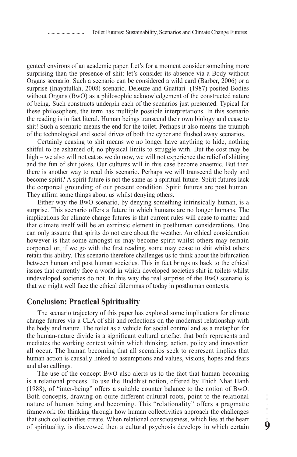genteel environs of an academic paper. Let's for a moment consider something more surprising than the presence of shit: let's consider its absence via a Body without Organs scenario. Such a scenario can be considered a wild card (Barber, 2006) or a surprise (Inayatullah, 2008) scenario. Deleuze and Guattari (1987) posited Bodies without Organs (BwO) as a philosophic acknowledgement of the constructed nature of being. Such constructs underpin each of the scenarios just presented. Typical for these philosophers, the term has multiple possible interpretations. In this scenario the reading is in fact literal. Human beings transcend their own biology and cease to shit! Such a scenario means the end for the toilet. Perhaps it also means the triumph of the technological and social drives of both the cyber and flushed away scenarios.

Certainly ceasing to shit means we no longer have anything to hide, nothing shitful to be ashamed of, no physical limits to struggle with. But the cost may be high – we also will not eat as we do now, we will not experience the relief of shitting and the fun of shit jokes. Our cultures will in this case become anaemic. But then there is another way to read this scenario. Perhaps we will transcend the body and become spirit? A spirit future is not the same as a spiritual future. Spirit futures lack the corporeal grounding of our present condition. Spirit futures are post human. They affirm some things about us whilst denying others.

Either way the BwO scenario, by denying something intrinsically human, is a surprise. This scenario offers a future in which humans are no longer humans. The implications for climate change futures is that current rules will cease to matter and that climate itself will be an extrinsic element in posthuman considerations. One can only assume that spirits do not care about the weather. An ethical consideration however is that some amongst us may become spirit whilst others may remain corporeal or, if we go with the first reading, some may cease to shit whilst others retain this ability. This scenario therefore challenges us to think about the bifurcation between human and post human societies. This in fact brings us back to the ethical issues that currently face a world in which developed societies shit in toilets whilst undeveloped societies do not. In this way the real surprise of the BwO scenario is that we might well face the ethical dilemmas of today in posthuman contexts.

## **Conclusion: Practical Spirituality**

The scenario trajectory of this paper has explored some implications for climate change futures via a CLA of shit and reflections on the modernist relationship with the body and nature. The toilet as a vehicle for social control and as a metaphor for the human-nature divide is a significant cultural artefact that both represents and mediates the working context within which thinking, action, policy and innovation all occur. The human becoming that all scenarios seek to represent implies that human action is causally linked to assumptions and values, visions, hopes and fears and also callings.

The use of the concept BwO also alerts us to the fact that human becoming is a relational process. To use the Buddhist notion, offered by Thich Nhat Hanh (1988), of "inter-being" offers a suitable counter balance to the notion of BwO. Both concepts, drawing on quite different cultural roots, point to the relational nature of human being and becoming. This "relationality" offers a pragmatic framework for thinking through how human collectivities approach the challenges that such collectivities create. When relational consciousness, which lies at the heart of spirituality, is disavowed then a cultural psychosis develops in which certain

**9**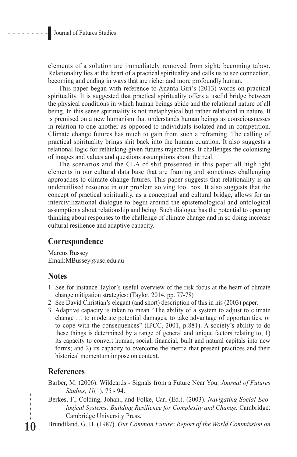elements of a solution are immediately removed from sight; becoming taboo. Relationality lies at the heart of a practical spirituality and calls us to see connection, becoming and ending in ways that are richer and more profoundly human.

This paper began with reference to Ananta Giri's (2013) words on practical spirituality. It is suggested that practical spirituality offers a useful bridge between the physical conditions in which human beings abide and the relational nature of all being. In this sense spirituality is not metaphysical but rather relational in nature. It is premised on a new humanism that understands human beings as consciousnesses in relation to one another as opposed to individuals isolated and in competition. Climate change futures has much to gain from such a reframing. The calling of practical spirituality brings shit back into the human equation. It also suggests a relational logic for rethinking given futures trajectories. It challenges the colonising of images and values and questions assumptions about the real.

The scenarios and the CLA of shit presented in this paper all highlight elements in our cultural data base that are framing and sometimes challenging approaches to climate change futures. This paper suggests that relationality is an underutilised resource in our problem solving tool box. It also suggests that the concept of practical spirituality, as a conceptual and cultural bridge, allows for an intercivilizational dialogue to begin around the epistemological and ontological assumptions about relationship and being. Such dialogue has the potential to open up thinking about responses to the challenge of climate change and in so doing increase cultural resilience and adaptive capacity.

# **Correspondence**

Marcus Bussey Email:MBussey@usc.edu.au

# **Notes**

- 1 See for instance Taylor's useful overview of the risk focus at the heart of climate change mitigation strategies: (Taylor, 2014, pp. 77-78)
- 2 See David Christian's elegant (and short) description of this in his (2003) paper.
- 3 Adaptive capacity is taken to mean "The ability of a system to adjust to climate change … to moderate potential damages, to take advantage of opportunities, or to cope with the consequences" (IPCC, 2001, p.881). A society's ability to do these things is determined by a range of general and unique factors relating to; 1) its capacity to convert human, social, financial, built and natural capitals into new forms; and 2) its capacity to overcome the inertia that present practices and their historical momentum impose on context.

# **References**

**10**

...........

Barber, M. (2006). Wildcards - Signals from a Future Near You. *Journal of Futures Studies, 11*(1), 75 - 94.

Berkes, F., Colding, Johan., and Folke, Carl (Ed.). (2003). *Navigating Social-Ecological Systems: Building Resilience for Complexity and Change.* Cambridge: Cambridge University Press.

Brundtland, G. H. (1987). *Our Common Future: Report of the World Commission on*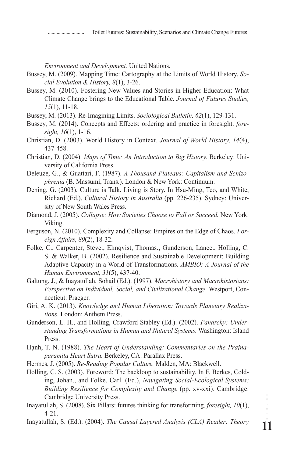Toilet Futures: Sustainability, Scenarios and Climate Change Futures

*Environment and Development.* United Nations.

Bussey, M. (2009). Mapping Time: Cartography at the Limits of World History. *Social Evolution & History, 8*(1), 3-26.

- Bussey, M. (2010). Fostering New Values and Stories in Higher Education: What Climate Change brings to the Educational Table. *Journal of Futures Studies, 15*(1), 11-18.
- Bussey, M. (2013). Re-Imagining Limits. *Sociological Bulletin, 62*(1), 129-131.
- Bussey, M. (2014). Concepts and Effects: ordering and practice in foresight. *foresight, 16*(1), 1-16.
- Christian, D. (2003). World History in Context. *Journal of World History, 14*(4), 437-458.

Christian, D. (2004). *Maps of Time: An Introduction to Big History.* Berkeley: University of California Press.

- Deleuze, G., & Guattari, F. (1987). *A Thousand Plateaus: Capitalism and Schizophrenia* (B. Massumi, Trans.). London & New York: Continuum.
- Dening, G. (2003). Culture is Talk. Living is Story. In Hsu-Ming, Teo, and White, Richard (Ed.), *Cultural History in Australia* (pp. 226-235). Sydney: University of New South Wales Press.
- Diamond, J. (2005). *Collapse: How Societies Choose to Fall or Succeed.* New York: Viking.
- Ferguson, N. (2010). Complexity and Collapse: Empires on the Edge of Chaos. *Foreign Affairs, 89*(2), 18-32.
- Folke, C., Carpenter, Steve., Elmqvist, Thomas., Gunderson, Lance., Holling, C. S. & Walker, B. (2002). Resilience and Sustainable Development: Building Adaptive Capacity in a World of Transformations. *AMBIO: A Journal of the Human Environment, 31*(5), 437-40.
- Galtung, J., & Inayatullah, Sohail (Ed.). (1997). *Macrohistory and Macrohistorians: Perspective on Individual, Social, and Civilizational Change.* Westport, Connecticut: Praeger.
- Giri, A. K. (2013). *Knowledge and Human Liberation: Towards Planetary Realizations.* London: Anthem Press.
- Gunderson, L. H., and Holling, Crawford Stabley (Ed.). (2002). *Panarchy: Understanding Transformations in Human and Natural Systems.* Washington: Island Press.
- Hạnh, T. N. (1988). *The Heart of Understanding: Commentaries on the Prajnaparamita Heart Sutra.* Berkeley, CA: Parallax Press.
- Hermes, J. (2005). *Re-Reading Popular Culture.* Malden, MA: Blackwell.
- Holling, C. S. (2003). Foreword: The backloop to sustainability. In F. Berkes, Colding, Johan., and Folke, Carl. (Ed.), *Navigating Social-Ecological Systems: Building Resilience for Complexity and Change* (pp. xv-xxi). Cambridge: Cambridge University Press.
- Inayatullah, S. (2008). Six Pillars: futures thinking for transforming. *foresight, 10*(1), 4-21.
- Inayatullah, S. (Ed.). (2004). *The Causal Layered Analysis (CLA) Reader: Theory*

**11**